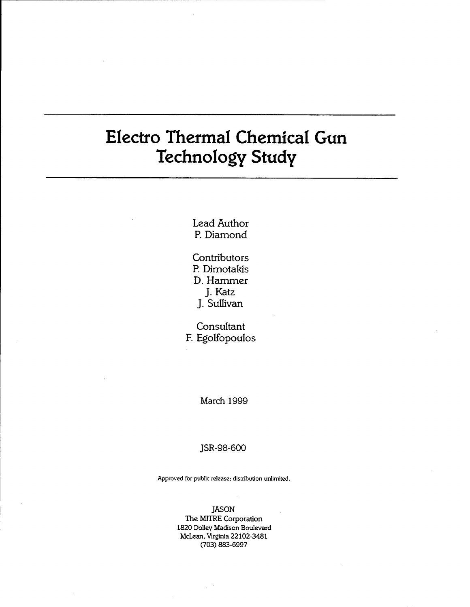# **Electro Thermal Chemical Gun Technology Study**

Lead Author P. Diamond

Contributors P. Dimotakis D. Hammer ]. Katz ]. Sullivan

**Consultant** F. Egolfopoulos

March 1999

#### ]SR-98-600

Approved for public release; distribution unlimited.

#### JASON

The MITRE Corporation 1820 Dolley Madison Boulevard McLean, Virginia 22102-3481 (703) 883-6997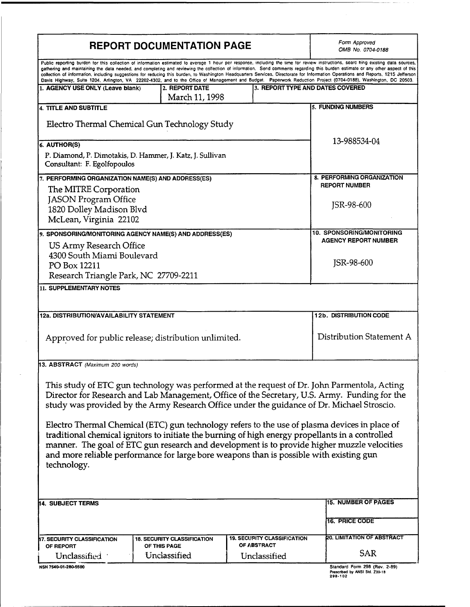| <b>REPORT DOCUMENTATION PAGE</b>                                                         |                                                                                                                                                                                             |                                                   | Form Approved<br>OMB No. 0704-0188                                                                                                                                                                                                                                                                                                                                                                                                                                                                                                                                                                                                                                                                                             |
|------------------------------------------------------------------------------------------|---------------------------------------------------------------------------------------------------------------------------------------------------------------------------------------------|---------------------------------------------------|--------------------------------------------------------------------------------------------------------------------------------------------------------------------------------------------------------------------------------------------------------------------------------------------------------------------------------------------------------------------------------------------------------------------------------------------------------------------------------------------------------------------------------------------------------------------------------------------------------------------------------------------------------------------------------------------------------------------------------|
|                                                                                          |                                                                                                                                                                                             |                                                   | Public reporting burden for this collection of information estimated to average 1 hour per response, including the time for review instructions, searc hing existing data sources,<br>gathering and maintaining the data needed, and completing and reviewing the collection of information. Send comments regarding this burden estimate or any other aspect of this<br>collection of information, including suggestions for reducing this burden, to Washington Headquarters Services, Directorate for Information Operations and Reports, 1215 Jefferson<br>Davis Highway, Suite 1204, Arlington, VA 22202-4302, and to the Office of Management and Budget. Paperwork Reduction Project (0704-0188), Washington, DC 20503. |
| 1. AGENCY USE ONLY (Leave blank)                                                         | 2. REPORT DATE<br>March 11, 1998                                                                                                                                                            |                                                   | 3. REPORT TYPE AND DATES COVERED                                                                                                                                                                                                                                                                                                                                                                                                                                                                                                                                                                                                                                                                                               |
| <b>4. TITLE AND SUBTITLE</b>                                                             |                                                                                                                                                                                             |                                                   | 5. FUNDING NUMBERS                                                                                                                                                                                                                                                                                                                                                                                                                                                                                                                                                                                                                                                                                                             |
|                                                                                          | Electro Thermal Chemical Gun Technology Study                                                                                                                                               |                                                   |                                                                                                                                                                                                                                                                                                                                                                                                                                                                                                                                                                                                                                                                                                                                |
| 6. AUTHOR(S)                                                                             | 13-988534-04                                                                                                                                                                                |                                                   |                                                                                                                                                                                                                                                                                                                                                                                                                                                                                                                                                                                                                                                                                                                                |
| P. Diamond, P. Dimotakis, D. Hammer, J. Katz, J. Sullivan<br>Consultant: F. Egolfopoulos |                                                                                                                                                                                             |                                                   |                                                                                                                                                                                                                                                                                                                                                                                                                                                                                                                                                                                                                                                                                                                                |
| 7. PERFORMING ORGANIZATION NAME(S) AND ADDRESS(ES)                                       | 8. PERFORMING ORGANIZATION                                                                                                                                                                  |                                                   |                                                                                                                                                                                                                                                                                                                                                                                                                                                                                                                                                                                                                                                                                                                                |
| The MITRE Corporation                                                                    | <b>REPORT NUMBER</b>                                                                                                                                                                        |                                                   |                                                                                                                                                                                                                                                                                                                                                                                                                                                                                                                                                                                                                                                                                                                                |
| <b>JASON Program Office</b>                                                              | JSR-98-600                                                                                                                                                                                  |                                                   |                                                                                                                                                                                                                                                                                                                                                                                                                                                                                                                                                                                                                                                                                                                                |
| 1820 Dolley Madison Blvd<br>McLean, Virginia 22102                                       |                                                                                                                                                                                             |                                                   |                                                                                                                                                                                                                                                                                                                                                                                                                                                                                                                                                                                                                                                                                                                                |
| 9. SPONSORING/MONITORING AGENCY NAME(S) AND ADDRESS(ES)                                  | <b>10. SPONSORING/MONITORING</b>                                                                                                                                                            |                                                   |                                                                                                                                                                                                                                                                                                                                                                                                                                                                                                                                                                                                                                                                                                                                |
| US Army Research Office                                                                  | <b>AGENCY REPORT NUMBER</b>                                                                                                                                                                 |                                                   |                                                                                                                                                                                                                                                                                                                                                                                                                                                                                                                                                                                                                                                                                                                                |
| 4300 South Miami Boulevard                                                               |                                                                                                                                                                                             |                                                   |                                                                                                                                                                                                                                                                                                                                                                                                                                                                                                                                                                                                                                                                                                                                |
| PO Box 12211                                                                             | JSR-98-600                                                                                                                                                                                  |                                                   |                                                                                                                                                                                                                                                                                                                                                                                                                                                                                                                                                                                                                                                                                                                                |
| Research Triangle Park, NC 27709-2211                                                    |                                                                                                                                                                                             |                                                   |                                                                                                                                                                                                                                                                                                                                                                                                                                                                                                                                                                                                                                                                                                                                |
| <b>11. SUPPLEMENTARY NOTES</b>                                                           |                                                                                                                                                                                             |                                                   |                                                                                                                                                                                                                                                                                                                                                                                                                                                                                                                                                                                                                                                                                                                                |
|                                                                                          |                                                                                                                                                                                             |                                                   |                                                                                                                                                                                                                                                                                                                                                                                                                                                                                                                                                                                                                                                                                                                                |
| <b>12a. DISTRIBUTION/AVAILABILITY STATEMENT</b>                                          |                                                                                                                                                                                             |                                                   | <b>12b. DISTRIBUTION CODE</b>                                                                                                                                                                                                                                                                                                                                                                                                                                                                                                                                                                                                                                                                                                  |
| Approved for public release; distribution unlimited.                                     |                                                                                                                                                                                             |                                                   | Distribution Statement A                                                                                                                                                                                                                                                                                                                                                                                                                                                                                                                                                                                                                                                                                                       |
| <b>113. ABSTRACT</b> (Maximum 200 words)                                                 |                                                                                                                                                                                             |                                                   |                                                                                                                                                                                                                                                                                                                                                                                                                                                                                                                                                                                                                                                                                                                                |
|                                                                                          |                                                                                                                                                                                             |                                                   | This study of ETC gun technology was performed at the request of Dr. John Parmentola, Acting<br>Director for Research and Lab Management, Office of the Secretary, U.S. Army. Funding for the<br>study was provided by the Army Research Office under the guidance of Dr. Michael Stroscio.                                                                                                                                                                                                                                                                                                                                                                                                                                    |
| technology.                                                                              | traditional chemical ignitors to initiate the burning of high energy propellants in a controlled<br>and more reliable performance for large bore weapons than is possible with existing gun |                                                   | Electro Thermal Chemical (ETC) gun technology refers to the use of plasma devices in place of<br>manner. The goal of ETC gun research and development is to provide higher muzzle velocities                                                                                                                                                                                                                                                                                                                                                                                                                                                                                                                                   |
|                                                                                          |                                                                                                                                                                                             |                                                   |                                                                                                                                                                                                                                                                                                                                                                                                                                                                                                                                                                                                                                                                                                                                |
| 14. SUBJECT TERMS                                                                        |                                                                                                                                                                                             |                                                   | <b>15. NUMBER OF PAGES</b>                                                                                                                                                                                                                                                                                                                                                                                                                                                                                                                                                                                                                                                                                                     |
|                                                                                          |                                                                                                                                                                                             |                                                   | <b>16. PRICE CODE</b>                                                                                                                                                                                                                                                                                                                                                                                                                                                                                                                                                                                                                                                                                                          |
| <b>17. SECURITY CLASSIFICATION</b><br>OF REPORT                                          | <b>18. SECURITY CLASSIFICATION</b><br>OF THIS PAGE                                                                                                                                          | <b>19. SECURITY CLASSIFICATION</b><br>OF ABSTRACT | <b>20. LIMITATION OF ABSTRACT</b>                                                                                                                                                                                                                                                                                                                                                                                                                                                                                                                                                                                                                                                                                              |
| <b>Unclassified</b>                                                                      | Unclassified                                                                                                                                                                                | Unclassified                                      | SAR                                                                                                                                                                                                                                                                                                                                                                                                                                                                                                                                                                                                                                                                                                                            |
| NSN 7540-01-280-5500                                                                     |                                                                                                                                                                                             |                                                   | Standard Form 298 (Rev. 2-89)                                                                                                                                                                                                                                                                                                                                                                                                                                                                                                                                                                                                                                                                                                  |

 $\sim$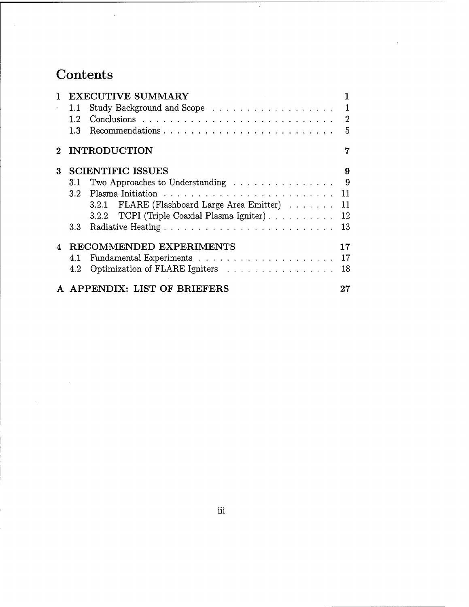## **Contents**

 $\bar{z}$ 

|   |                  | EXECUTIVE SUMMARY                              |    |
|---|------------------|------------------------------------------------|----|
|   | 1.1              |                                                |    |
|   | 1.2.             |                                                | 2  |
|   | $1.3\,$          |                                                | 5  |
|   |                  | <b>INTRODUCTION</b>                            |    |
| 3 |                  | <b>SCIENTIFIC ISSUES</b>                       | 9  |
|   | 3.1              | Two Approaches to Understanding 9              |    |
|   | 3.2 <sub>1</sub> |                                                |    |
|   |                  | 3.2.1 FLARE (Flashboard Large Area Emitter) 11 |    |
|   |                  | 3.2.2 TCPI (Triple Coaxial Plasma Igniter) 12  |    |
|   | 3.3              |                                                | 13 |
|   |                  | RECOMMENDED EXPERIMENTS                        | 17 |
|   | 4.1              |                                                | 17 |
|   | 4.2              | Optimization of FLARE Igniters                 | 18 |
|   |                  | APPENDIX: LIST OF BRIEFERS                     |    |

 $\overline{a}$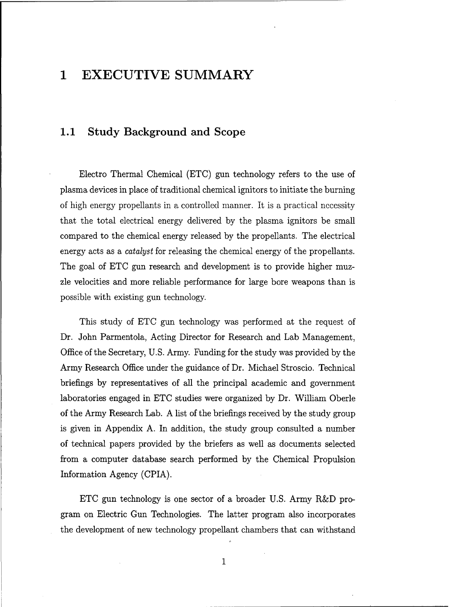## **1 EXECUTIVE SUMMARY**

### **1.1 Study Background and Scope**

Electro Thermal Chemical (ETC) gun technology refers to the use of plasma devices in place of traditional chemical ignitors to initiate the burning of high energy propellants in a controlled manner. It is a practical necessity that the total electrical energy delivered by the plasma ignitors be small compared to the chemical energy released by the propellants. The electrical energy acts as a *catalyst* for releasing the chemical energy of the propellants. The goal of ETC gun research and development is to provide higher muzzle velocities and more reliable performance for large bore weapons than is possible with existing gun technology.

This study of ETC gun technology was performed at the request of Dr. John Parmentola, Acting Director for Research and Lab Management, Office of the Secretary, U.S. Army. Funding for the study was provided by the Army Research Office under the guidance of Dr. Michael Stroscio. Technical briefings by representatives of all the principal academic and government laboratories engaged in ETC studies were organized by Dr. William Oberle of the Army Research Lab. A list of the briefings received by the study group is given in Appendix A. **In** addition, the study group consulted a number of technical papers provided by the briefers as well as documents selected from a computer database search performed by the Chemical Propulsion Information Agency (CPIA).

ETC gun technology is one sector of a broader U.S. Army R&D program on Electric Gun Technologies. The latter program also incorporates the development of new technology propellant chambers that can withstand

1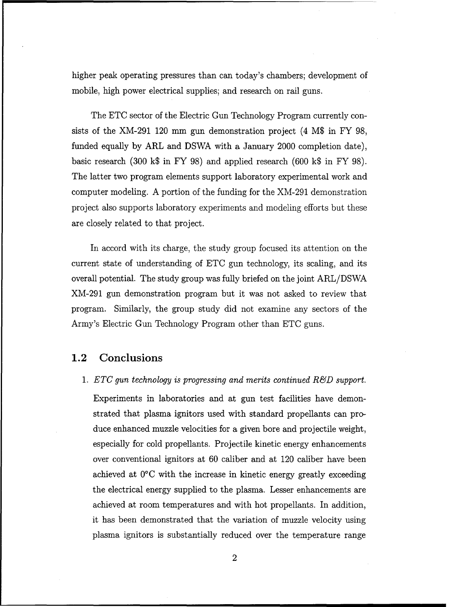higher peak operating pressures than can today's chambers; development of mobile, high power electrical supplies; and research on rail guns.

The ETC sector of the Electric Gun Technology Program currently consists of the XM-291 120 mm gun demonstration project (4 M\$ in FY 98, funded equally by ARL and DSWA with a January 2000 completion date), basic research (300 k\$ in FY 98) and applied research (600 k\$ in FY 98). The latter two program elements support laboratory experimental work and computer modeling. A portion of the funding for the XM-291 demonstration project also supports laboratory experiments and modeling efforts but these are closely related to that project.

In accord with its charge, the study group focused its attention on the current state of understanding of ETC gun technology, its scaling, and its overall potential. The study group was fully briefed on the joint ARL/DSWA XM-291 gun demonstration program but it was not asked to review that program. Similarly, the group study did not examine any sectors of the Army's Electric Gun Technology Program other than ETC guns.

#### **1. 2 Conclusions**

1. *ETC gun technology is progressing and merits continued R&D support.*  Experiments in laboratories and at gun test facilities have demonstrated that plasma ignitors used with standard propellants can produce enhanced muzzle velocities for a given bore and projectile weight, especially for cold propellants. Projectile kinetic energy enhancements over conventional ignitors at 60 caliber and at 120 caliber have been achieved at O°C with the increase in kinetic energy greatly exceeding the electrical energy supplied to the plasma. Lesser enhancements are achieved at room temperatures and with hot propellants. In addition, it has been demonstrated that the variation of muzzle velocity using plasma ignitors is substantially reduced over the temperature range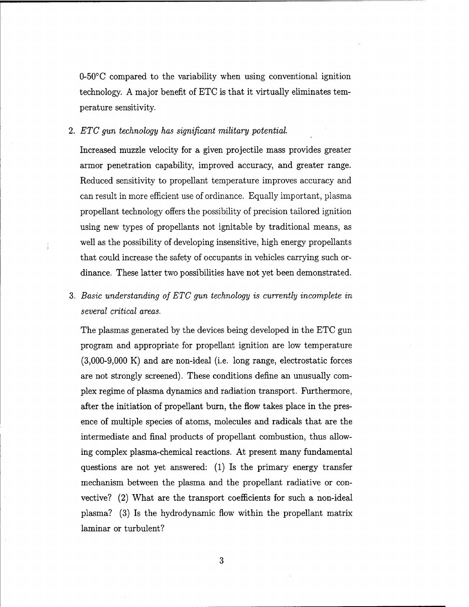0-50°C compared to the variability when using conventional ignition technology. A major benefit of ETC is that it virtually eliminates temperature sensitivity.

*2. ETC gun technology has significant military potential.* 

Î

Increased muzzle velocity for a given projectile mass provides greater armor penetration capability, improved accuracy, and greater range. Reduced sensitivity to propellant temperature improves accuracy and can result in more efficient use of ordinance. Equally important, plasma propellant technology offers the possibility of precision tailored ignition using new types of propellants not ignitable by traditional means, as well as the possibility of developing insensitive, high energy propellants that could increase the safety of occupants in vehicles carrying such ordinance. These latter two possibilities have not yet been demonstrated.

*3. Basic understanding of ETC gun technology* is *currently incomplete in several critical areas.* 

The plasmas generated by the devices being developed in the ETC gun program and appropriate for propellant ignition are low temperature  $(3,000-9,000)$  K) and are non-ideal (i.e. long range, electrostatic forces are not strongly screened). These conditions define an unusually complex regime of plasma dynamics and radiation transport. Furthermore, after the initiation of propellant burn, the flow takes place in the presence of multiple species of atoms, molecules and radicals that are the intermediate and final products of propellant combustion, thus allowing complex plasma-chemical reactions. At present many fundamental questions are not yet answered: (1) Is the primary energy transfer mechanism between the plasma and the propellant radiative or convective? (2) What are the transport coefficients for such a non-ideal plasma? (3) Is the hydrodynamic flow within the propellant matrix laminar or turbulent?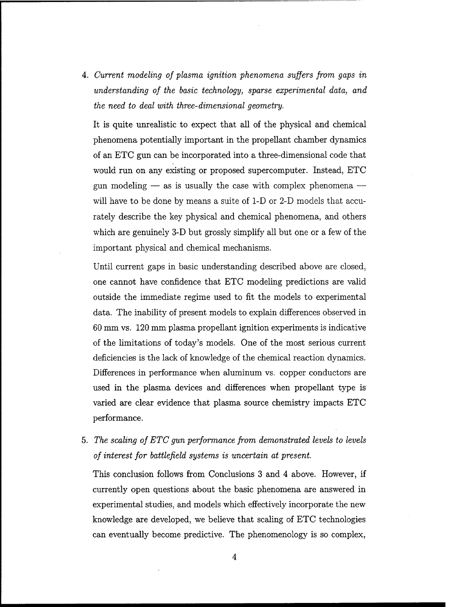*4. Current modeling of plasma ignition phenomena suffers from gaps in understanding of the basic technology, sparse experimental data, and the need to deal with three-dimensional geometry.* 

It is quite unrealistic to expect that all of the physical and chemical phenomena potentially important in the propellant chamber dynamics of an ETC gun can be incorporated into a three-dimensional code that would run on any existing or proposed supercomputer. Instead, ETC gun modeling  $-$  as is usually the case with complex phenomena  $$ will have to be done by means a suite of 1-D or 2-D models that accurately describe the key physical and chemical phenomena, and others which are genuinely 3-D but grossly simplify all but one or a few of the important physical and chemical mechanisms.

Until current gaps in basic understanding described above are closed, one cannot have confidence that ETC modeling predictions are valid outside the immediate regime used to fit the models to experimental data. The inability of present models to explain differences observed in 60 mm vs. 120 mm plasma propellant ignition experiments is indicative of the limitations of today's models. One of the most serious current deficiencies is the lack of knowledge of the chemical reaction dynamics. Differences in performance when aluminum vs. copper conductors are used in the plasma devices and differences when propellant type is varied are clear evidence that plasma source chemistry impacts ETC performance.

*5. The scaling of ETC gun performance from demonstrated levels to levels of interest for battlefield systems is uncertain at present.* 

This conclusion follows from Conclusions 3 and 4 above. However, if currently open questions about the basic phenomena are answered in experimental studies, and models which effectively incorporate the new knowledge are developed, we believe that scaling of ETC technologies can eventually become predictive. The phenomenology is so complex,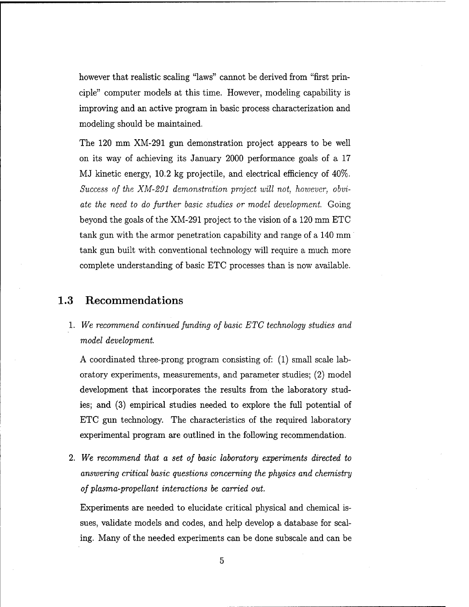however that realistic scaling "laws" cannot be derived from "first principle" computer models at this time. However, modeling capability is improving and an active program in basic process characterization and modeling should be maintained.

The 120 mm XM-291 gun demonstration project appears to be well on its way of achieving its January 2000 performance goals of a 17 MJ kinetic energy, 10.2 kg projectile, and electrical efficiency of 40%. Success of the XM-291 demonstration project will not, however, obvi*ate the need to do further basic studies or model development.* Going beyond the goals of the XM-291 project to the vision of a 120 mm ETC tank gun with the armor penetration capability and range of a 140 mm . tank gun built with conventional technology will require a much more complete understanding of basic ETC processes than is now available.

#### **1.3 Recommendations**

1. *We recommend continued funding of basic ETC technology studies and model development.* 

A coordinated three-prong program consisting of: (1) small scale laboratory experiments, measurements, and parameter studies; (2) model development that incorporates the results from the laboratory studies; and (3) empirical studies needed to explore the full potential of ETC gun technology. The characteristics of the required laboratory experimental program are outlined in the following recommendation.

2. *We recommend that a set of basic laboratory experiments directed to answering critical basic questions concerning the physics and chemistry of plasma-propellant interactions be carried out.* 

Experiments are needed to elucidate critical physical and chemical issues, validate models and codes, and help develop a database for scaling. Many of the needed experiments can be done subscale and can be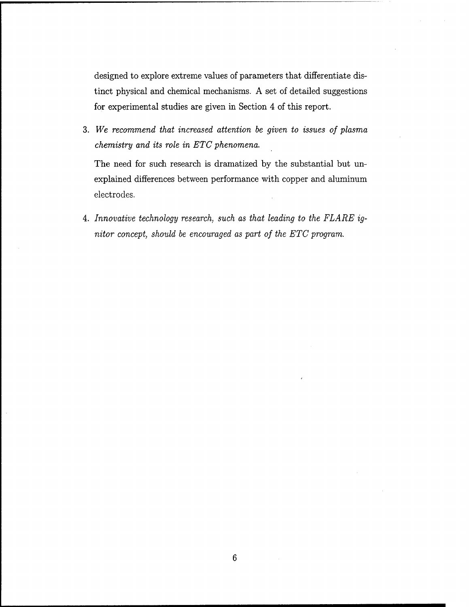designed to explore extreme values of parameters that differentiate distinct physical and chemical mechanisms. A set of detailed suggestions for experimental studies are given in Section 4 of this report.

*3. We recommend that increased attention be given to issues of plasma chemistry and its role in ETC phenomena.* 

The need for such research is dramatized by the substantial but unexplained differences between performance with copper and aluminum electrodes.

*4. Innovative technology research, such as that leading to the FLARE ignitor concept, should be encouraged as part of the ETC program.*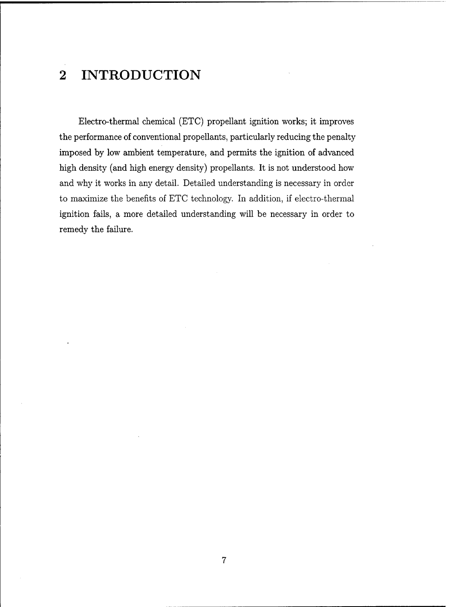## **2 INTRODUCTION**

Electro-thermal chemical (ETC) propellant ignition works; it improves the performance of conventional propellants, particularly reducing the penalty imposed by low ambient temperature, and permits the ignition of advanced high density (and high energy density) propellants. **It** is not understood how and why it works in any detail. Detailed understanding is necessary in order to maximize the benefits of ETC technology. **In** addition, if electro-thermal ignition fails, a more detailed understanding will be necessary in order to remedy the failure.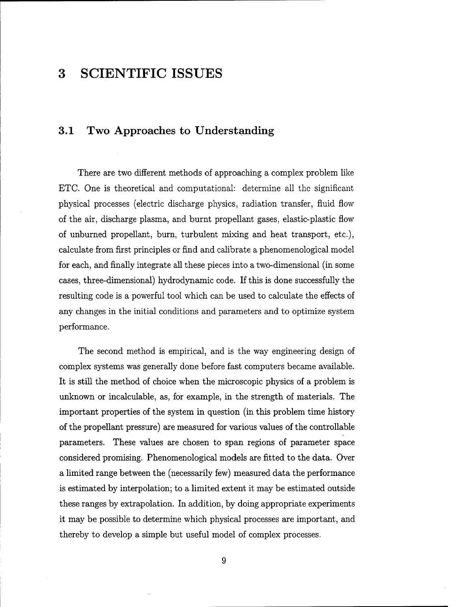### **3 SCIENTIFIC ISSUES**

### **3.1 Two Approaches to Understanding**

There are two different methods of approaching a complex problem like ETC. One is theoretical and computational: determine all the significant physical processes (electric discharge physics, radiation transfer, fluid flow of the air, discharge plasma, and burnt propellant gases, elastic-plastic flow of unburned propellant, burn, turbulent mixing and heat transport, etc.), calculate from first principles or find and calibrate a phenomenological model for each, and finally integrate all these pieces into a two-dimensional (in some cases, three-dimensional) hydrodynamic code. If this is done successfully the resulting code is a powerful tool which can be used to calculate the effects of any changes in the initial conditions and parameters and to optimize system performance.

The second method is empirical, and is the way engineering design of complex systems was generally done before fast computers became available. It is still the method of choice when the microscopic physics of a problem is unknown or incalculable, as, for example, in the strength of materials. The important properties of the system in question (in this problem time history of the propellant pressure) are measured for various values of the controllable parameters. These values are chosen to span regions of parameter space considered promising. Phenomenological models are fitted to the data. Over a limited range between the (necessarily few) measured data the performance is estimated by interpolation; to a limited extent it may be estimated outside these ranges by extrapolation. **In** addition, by doing appropriate experiments it may be possible to determine which physical processes are important, and thereby to develop a simple but useful model of complex processes.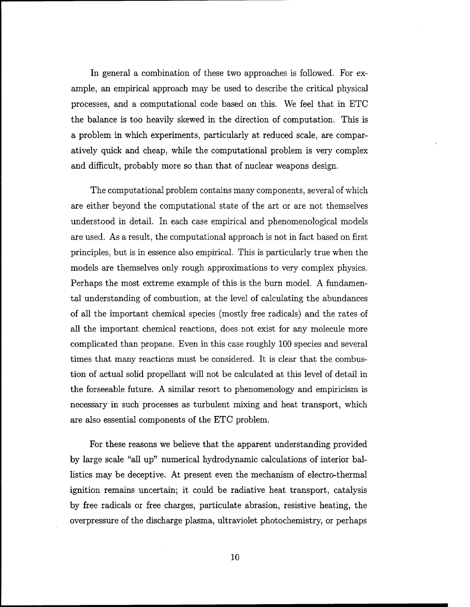In general a combination of these two approaches is followed. For example, an empirical approach may be used to describe the critical physical processes, and a computational code based on this. We feel that in ETC the balance is too heavily skewed in the direction of computation. This is a problem in which experiments, particularly at reduced scale, are comparatively quick and cheap, while the computational problem is very complex and difficult, probably more so than that of nuclear weapons design.

The computational problem contains many components, several of which are either beyond the computational state of the art or are not themselves understood in detail. In each case empirical and phenomenological models are used. As a result, the computational approach is not in fact based on first principles, but is in essence also empirical. This is particularly true when the models are themselves only rough approximations to very complex physics. Perhaps the most extreme example of this is the burn model. A fundamental understanding of combustion, at the level of calculating the abundances of all the important chemical species (mostly free radicals) and the rates of all the important chemical reactions, does not exist for any molecule more complicated than propane. Even in this case roughly 100 species and several times that many reactions must be considered. It is clear that the combustion of actual solid propellant will not be calculated at this level of detail in the forseeable future. A similar resort to phenomenology and empiricism is necessary in such processes as turbulent mixing and heat transport, which are also essential components of the ETC problem.

For these reasons we believe that the apparent understanding provided by large scale "all up" numerical hydrodynamic calculations of interior ballistics may be deceptive. At present even the mechanism of electro-thermal ignition remains uncertain; it could be radiative heat transport, catalysis by free radicals or free charges, particulate abrasion, resistive heating, the overpressure of the discharge plasma, ultraviolet photochemistry, or perhaps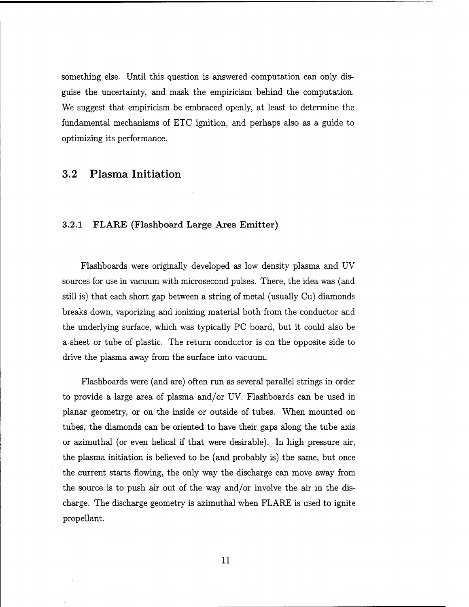something else. Until this question is answered computation can only disguise the uncertainty, and mask the empiricism behind the computation. We suggest that empiricism be embraced openly, at least to determine the fundamental mechanisms of ETC ignition, and perhaps also as a guide to optimizing its performance.

#### **3.2 Plasma Initiation**

#### 3.2.1 **FLARE** (Flashboard Large Area Emitter)

Flashboards were originally developed as low density plasma and UV sources for use in vacuum with microsecond pulses. There, the idea was (and still is) that each short gap between a string of metal (usually Cu) diamonds breaks down, vaporizing and ionizing material both from the conductor and the underlying surface, which was typically PC board, but it could also be a.sheet or tube of plastic. The return conductor is on the opposite side to drive the plasma away from the surface into vacuum.

Flashboards were (and are) often run as several parallel strings in order to provide a large area of plasma and/or UV. Flashboards can be used in planar geometry, or on the inside or outside of tubes. When mounted on tubes, the diamonds can be oriented to have their gaps along the tube axis or azimuthal (or even helical if that were desirable). In high pressure air, the plasma initiation is believed to be (and probably is) the same, but once the current starts flowing, the only way the discharge can move away from the source is to push air out of the way and/or involve the air in the discharge. The discharge geometry is azimuthal when FLARE is used to ignite propellant.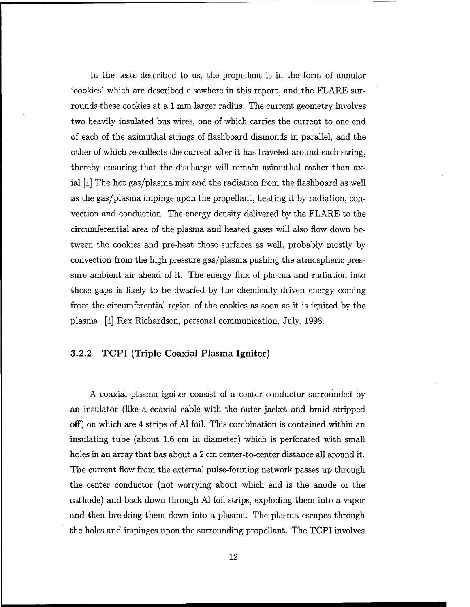In the tests described to us, the propellant is in the form of annular 'cookies' which are described elsewhere in this report, and the FLARE surrounds these cookies at a 1 mm larger radius. The current geometry involves two heavily insulated bus wires, one of which carries the current to one end of each of the azimuthal strings of flashboard diamonds in parallel, and the other of which re-collects the current after it has traveled around each string, thereby ensuring that the discharge will remain azimuthal rather than axial.[l] The hot gas/plasma mix and the radiation from the flashboard as well as the gas/plasma impinge upon the propellant, heating it by radiation, convection and conduction. The energy density delivered by the FLARE to the circumferential area of the plasma and heated gases will also flow down between the cookies and pre-heat those surfaces as well, probably mostly by convection from the high pressure gas/plasma pushing the atmospheric pressure ambient air ahead of it. The energy flux of plasma and radiation into those gaps is likely to be dwarfed by the chemically-driven energy coming from the circumferential region of the cookies as soon as it is ignited by the plasma. [1] Rex Richardson, personal communication, July, 1998.

#### 3.2.2 **TCPI** (Triple Coaxial Plasma Igniter)

A coaxial plasma igniter consist of a center conductor surrounded by an insulator (like a coaxial cable with the outer jacket and braid stripped off) on which are 4 strips of Al foil. This combination is contained within an insulating tube (about 1.6 cm in diameter) which is perforated with small holes in an array that has about a 2 cm center-to-center distance all around it. The current flow from the external pulse-forming network passes up through the center conductor (not worrying about which end is the anode or the cathode) and back down through Al foil strips, exploding them into a vapor and then breaking them down into a plasma. The plasma escapes through the holes and impinges upon the surrounding propellant. The TCPI involves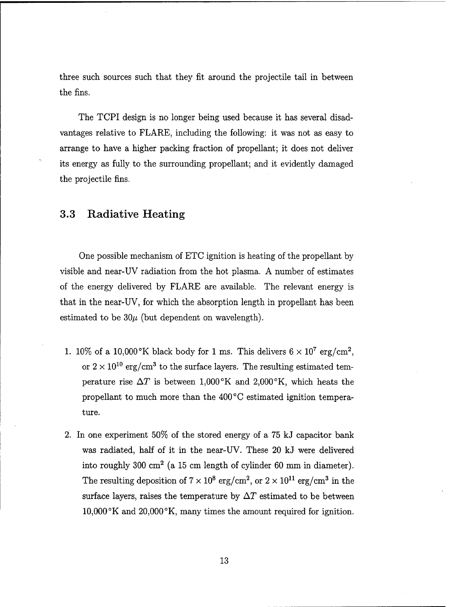three such sources such that they fit around the projectile tail in between the fins.

The TCPI design is no longer being used because it has several disadvantages relative to FLARE, including the following: it was not as easy to arrange to have a higher packing fraction of propellant; it does not deliver its energy as fully to the surrounding propellant; and it evidently damaged the projectile fins.

#### **3.3 Radiative Heating**

One possible mechanism of ETC ignition is heating of the propellant by visible and near-UV radiation from the hot plasma. A number of estimates of the energy delivered by FLARE are available. The relevant energy is that in the near-UV, for which the absorption length in propellant has been estimated to be  $30\mu$  (but dependent on wavelength).

- 1. 10% of a 10,000°K black body for 1 ms. This delivers  $6 \times 10^7 \text{ erg/cm}^2$ , or  $2 \times 10^{10}$  erg/cm<sup>3</sup> to the surface layers. The resulting estimated temperature rise  $\Delta T$  is between 1,000°K and 2,000°K, which heats the propellant to much more than the 400°C estimated ignition temperature.
- 2. In one experiment 50% of the stored energy of a 75 kJ capacitor bank was radiated, half of it in the near-UV. These 20 kJ were delivered into roughly  $300 \text{ cm}^2$  (a 15 cm length of cylinder 60 mm in diameter). The resulting deposition of  $7 \times 10^8 \text{ erg/cm}^2$ , or  $2 \times 10^{11} \text{ erg/cm}^3$  in the surface layers, raises the temperature by  $\Delta T$  estimated to be between  $10,000\textdegree K$  and  $20,000\textdegree K$ , many times the amount required for ignition.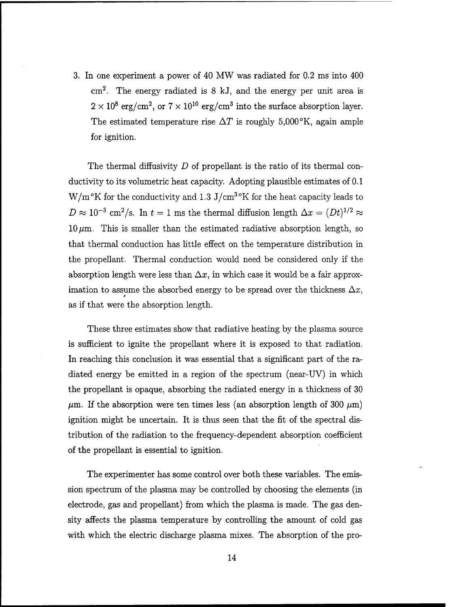3. In one experiment a power of 40 MW was radiated for 0.2 ms into 400  $\text{cm}^2$ . The energy radiated is 8 kJ, and the energy per unit area is  $2 \times 10^8$  erg/cm<sup>2</sup>, or  $7 \times 10^{10}$  erg/cm<sup>3</sup> into the surface absorption layer. The estimated temperature rise  $\Delta T$  is roughly 5,000°K, again ample for ignition.

The thermal diffusivity *D* of propellant is the ratio of its thermal conductivity to its volumetric heat capacity. Adopting plausible estimates of 0.1  $W/m^oK$  for the conductivity and 1.3 J/cm<sup>3</sup><sup>o</sup>K for the heat capacity leads to  $D \approx 10^{-3}$  cm<sup>2</sup>/s. In  $t = 1$  ms the thermal diffusion length  $\Delta x = (Dt)^{1/2} \approx$  $10 \,\mu\mathrm{m}$ . This is smaller than the estimated radiative absorption length, so that thermal conduction has little effect on the temperature distribution in the propellant. Thermal conduction would need be considered only if the absorption length were less than  $\Delta x$ , in which case it would be a fair approximation to assume the absorbed energy to be spread over the thickness  $\Delta x$ , as if that were the absorption length.

These three estimates show that radiative heating by the plasma source is sufficient to ignite the propellant where it is exposed to that radiation. In reaching this conclusion it was essential that a significant part of the radiated energy be emitted in a region of the spectrum (near-UV) in which the propellant is opaque, absorbing the radiated energy in a thickness of 30  $\mu$ m. If the absorption were ten times less (an absorption length of 300  $\mu$ m) ignition might be uncertain. It is thus seen that the fit of the spectral distribution of the radiation to the frequency-dependent absorption coefficient of the propellant is essential to ignition.

The experimenter has some control over both these variables. The emission spectrum of the plasma may be controlled by choosing the elements (in electrode, gas and propellant) from which the plasma is made. The gas density affects the plasma temperature by controlling the amount of cold gas with which the electric discharge plasma mixes. The absorption of the pro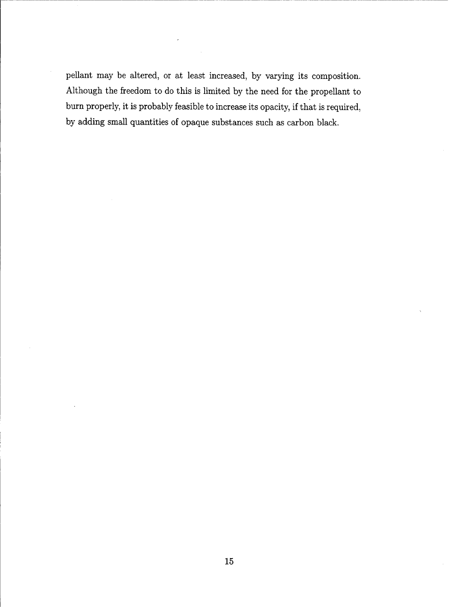pellant may be altered, or at least increased, by varying its composition. Although the freedom to do this is limited by the need for the propellant to burn properly, it is probably feasible to increase its opacity, if that is required, by adding small quantities of opaque substances such as carbon black.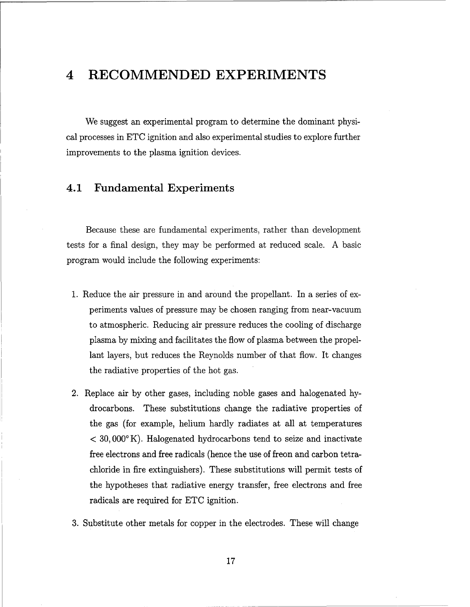## **4 RECOMMENDED EXPERIMENTS**

We suggest an experimental program to determine the dominant physical processes in ETC ignition and also experimental studies to explore further improvements to the plasma ignition devices.

#### **4.1 Fundamental Experiments**

Because these are fundamental experiments, rather than development tests for a final design, they may be performed at reduced scale. A basic program would include the following experiments:

- 1. Reduce the air pressure in and around the propellant. In a series of experiments values of pressure may be chosen ranging from near-vacuum to atmospheric. Reducing air pressure reduces the cooling of discharge plasma by mixing and facilitates the flow of plasma between the propellant layers, but reduces the Reynolds number of that flow. It changes the radiative properties of the hot gas.
- 2. Replace air by other gases, including noble gases and halogenated hydrocarbons. These substitutions change the radiative properties of the gas (for example, helium hardly radiates at all at temperatures  $< 30,000^{\circ}$  K). Halogenated hydrocarbons tend to seize and inactivate free electrons and free radicals (hence the use of freon and carbon tetrachloride in fire extinguishers). These substitutions will permit tests of the hypotheses that radiative energy transfer, free electrons and free radicals are required for ETC ignition.
- 3. Substitute other metals for copper in the electrodes. These will change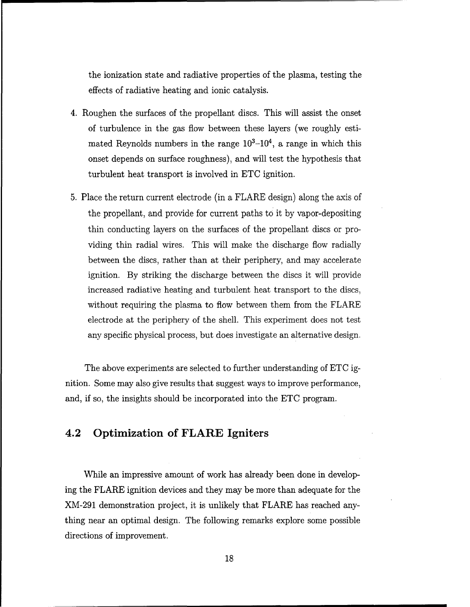the ionization state and radiative properties of the plasma, testing the effects of radiative heating and ionic catalysis.

- 4. Roughen the surfaces of the propellant discs. This will assist the onset of turbulence in the gas flow between these layers (we roughly estimated Reynolds numbers in the range  $10^3 - 10^4$ , a range in which this onset depends on surface roughness), and will test the hypothesis that turbulent heat transport is involved in ETC ignition.
- 5. Place the return current electrode (in a FLARE design) along the axis of the propellant, and provide for current paths to it by vapor-depositing thin conducting layers on the surfaces of the propellant discs or providing thin radial wires. This will make the discharge flow radially between the discs, rather than at their periphery, and may accelerate ignition. By striking the discharge between the discs it will provide increased radiative heating and turbulent heat transport to the discs, without requiring the plasma to flow between them from the FLARE electrode at the periphery of the shell. This experiment does not test any specific physical process, but does investigate an alternative design.

The above experiments are selected to further understanding of ETC ignition. Some may also give results that suggest ways to improve performance, and, if so, the insights should be incorporated into the ETC program.

#### **4.2 Optimization of FLARE Igniters**

While an impressive amount of work has already been done in developing the FLARE ignition devices and they may be more than adequate for the XM-291 demonstration project, it is unlikely that FLARE has reached anything near an optimal design. The following remarks explore some possible directions of improvement.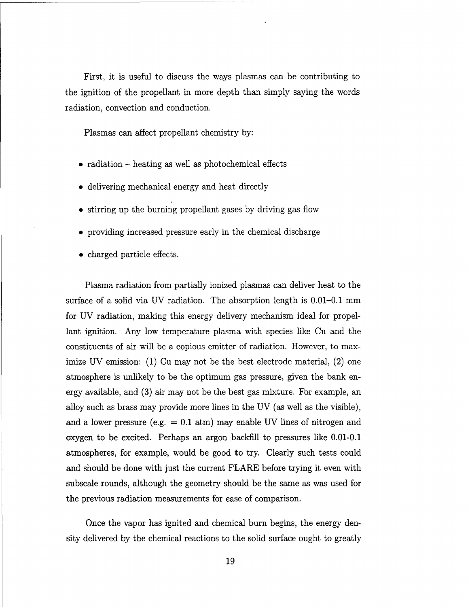First, it is useful to discuss the ways plasmas can be contributing to the ignition of the propellant in more depth than simply saying the words radiation, convection and conduction.

Plasmas can affect propellant chemistry by:

- radiation heating as well as photochemical effects
- delivering mechanical energy and heat directly
- stirring up the burning propellant gases by driving gas flow
- providing increased pressure early in the chemical discharge
- charged particle effects.

Plasma radiation from partially ionized plasmas can deliver heat to the surface of a solid via UV radiation. The absorption length is 0.01-0.1 mm for UV radiation, making this energy delivery mechanism ideal for propellant ignition. Any low temperature plasma with species like Cu and the constituents of air will be a copious emitter of radiation. However, to maximize UV emission: (1) Cu may not be the best electrode material, (2) one atmosphere is unlikely to be the optimum gas pressure, given the bank energy available, and (3) air may not be the best gas mixture. For example, an alloy such as brass may provide more lines in the UV (as well as the visible), and a lower pressure (e.g.  $= 0.1$  atm) may enable UV lines of nitrogen and oxygen to be excited. Perhaps an argon backfill to pressures like 0.01-0.1 atmospheres, for example, would be good to try. Clearly such tests could and should be done with just the current FLARE before trying it even with subscale rounds, although the geometry should be the same as was used for the previous radiation measurements for ease of comparison.

Once the vapor has ignited and chemical burn begins, the energy density delivered by the chemical reactions to the solid surface ought to greatly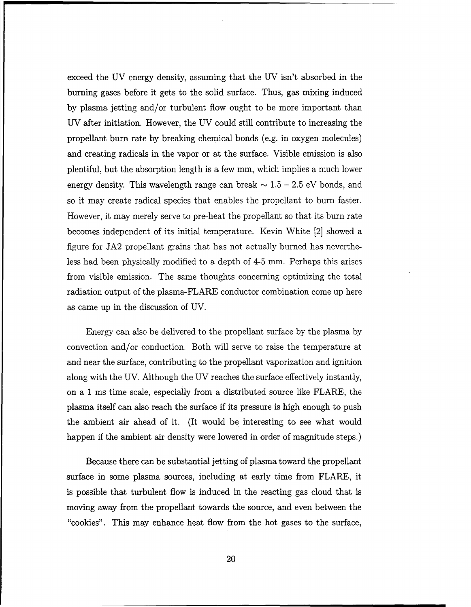exceed the UV energy density, assuming that the UV isn't absorbed in the burning gases before it gets to the solid surface. Thus, gas mixing induced by plasma jetting and/or turbulent flow ought to be more important than UV after initiation. However, the UV could still contribute to increasing the propellant burn rate by breaking chemical bonds (e.g. in oxygen molecules) and creating radicals in the vapor or at the surface. Visible emission is also plentiful, but the absorption length is a few mm, which implies a much lower energy density. This wavelength range can break  $\sim 1.5 - 2.5$  eV bonds, and so it may create radical species that enables the propellant to burn faster. However, it may merely serve to pre-heat the propellant so that its burn rate becomes independent of its initial temperature. Kevin White [2] showed a figure for JA2 propellant grains that has not actually burned has nevertheless had been physically modified to a depth of 4-5 mm. Perhaps this arises from visible emission. The same thoughts concerning optimizing the total radiation output of the plasma-FLARE conductor combination come up here as came up in the discussion of UV.

Energy can also be delivered to the propellant surface by the plasma by convection and/or conduction. Both will serve to raise the temperature at and near the surface, contributing to the propellant vaporization and ignition along with the UV. Although the UV reaches the surface effectively instantly, on a 1 ms time scale, especially from a distributed source like  $FLARE$ , the plasma itself can also reach the surface if its pressure is high enough to push the ambient air ahead of it. (It would be interesting to see what would happen if the ambient air density were lowered in order of magnitude steps.)

Because there can be substantial jetting of plasma toward the propellant surface in some plasma sources, including at early time from FLARE, it is possible that turbulent flow is induced in the reacting gas cloud that is moving away from the propellant towards the source, and even between the "cookies". This may enhance heat flow from the hot gases to the surface,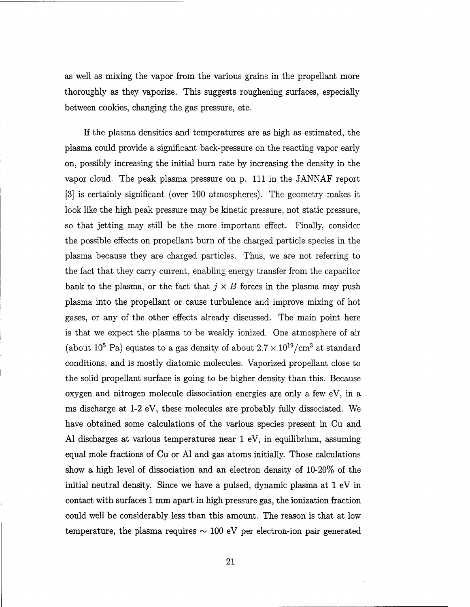as well as mixing the vapor from the various grains in the propellant more thoroughly as they vaporize. This suggests roughening surfaces, especially between cookies, changing the gas pressure, etc.

If the plasma densities and temperatures are as high as estimated, the plasma could provide a significant back-pressure on the reacting vapor early on, possibly increasing the initial burn rate by increasing the density in the vapor cloud. The peak plasma pressure on p. 111 in the JANNAF report [3] is certainly significant (over 100 atmospheres). The geometry makes it look like the high peak pressure may be kinetic pressure, not static pressure, so that jetting may still be the more important effect. Finally, consider the possible effects on propellant burn of the charged particle species in the plasma because they are charged particles. Thus, we are not referring to the fact that they carry current, enabling energy transfer from the capacitor bank to the plasma, or the fact that  $j \times B$  forces in the plasma may push plasma into the propellant or cause turbulence and improve mixing of hot gases, or any of the other effects already discussed. The main point here is that we expect the plasma to be weakly ionized. One atmosphere of air (about  $10^5$  Pa) equates to a gas density of about  $2.7 \times 10^{19} / \text{cm}^3$  at standard conditions, and is mostly diatomic molecules. Vaporized propellant close to the solid propellant surface is going to be higher density than this. Because oxygen and nitrogen molecule dissociation energies are only a few eV, in a ms discharge at 1-2 eV, these molecules are probably fully dissociated. We have obtained some calculations of the various species present in Cu and Al discharges at various temperatures near  $1 \text{ eV}$ , in equilibrium, assuming equal mole fractions of Cu or Al and gas atoms initially. Those calculations show a high level of dissociation and an electron density of 10-20% of the initial neutral density. Since we have a pulsed, dynamic plasma at  $1 \text{ eV}$  in contact with surfaces 1 mm apart in high pressure gas, the ionization fraction could well be considerably less than this amount. The reason is that at low temperature, the plasma requires  $\sim 100$  eV per electron-ion pair generated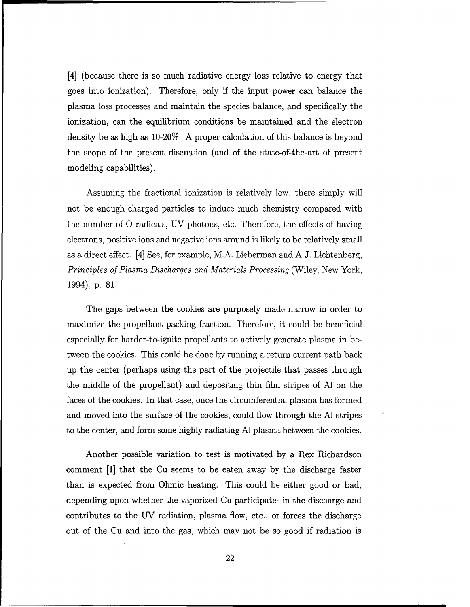[4] (because there is so much radiative energy loss relative to energy that goes into ionization). Therefore, only if the input power can balance the plasma loss processes and maintain the species balance, and specifically the ionization, can the equilibrium conditions be maintained and the electron density be as high as 10-20%. A proper calculation of this balance is beyond the scope of the present discussion (and of the state-of-the-art of present modeling capabilities).

Assuming the fractional ionization is relatively low, there simply will not be enough charged particles to induce much chemistry compared with the number of 0 radicals, UV photons, etc. Therefore, the effects of having electrons, positive ions and negative ions around is likely to be relatively small as a direct effect. [4] See, for example, M.A. Lieberman and A.J. Lichtenberg, *Principles of Plasma Discharges and Materials Processing* (Wiley, New York, 1994), p. 81.

The gaps between the cookies are purposely made narrow in order to maximize the propellant packing fraction. Therefore, it could be beneficial especially for harder-to-ignite propellants to actively generate plasma in between the cookies. This could be done by running a return current path back up the center (perhaps using the part of the projectile that passes through the middle of the propellant) and depositing thin film stripes of Al on the faces of the cookies. In that case, once the circumferential plasma has formed and moved into the surface of the cookies, could flow through the Al stripes to the center, and form some highly radiating Al plasma between the cookies.

Another possible variation to test is motivated by a Rex Richardson comment [1] that the Cu seems to be eaten away by the discharge faster than is expected from Ohmic heating. This could be either good or bad, depending upon whether the vaporized Cu participates in the discharge and contributes to the UV radiation, plasma flow, etc., or forces the discharge out of the Cu and into the gas, which may not be so good if radiation is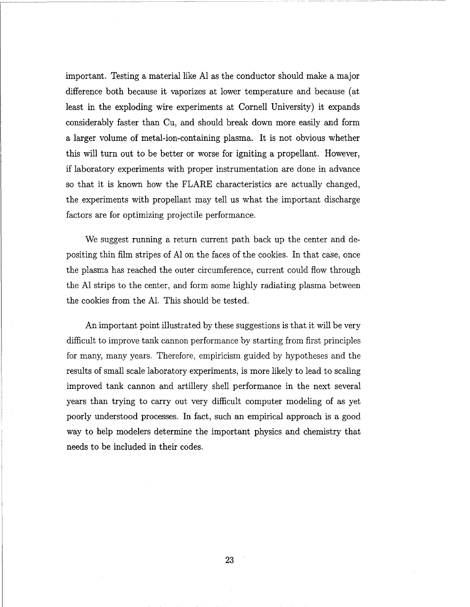important. Testing a material like Al as the conductor should make a major difference both because it vaporizes at lower temperature and because (at least in the exploding wire experiments at Cornell University) it expands considerably faster than Cu, and should break down more easily and form a larger volume of metal-ion-containing plasma. It is not obvious whether this will turn out to be better or worse for igniting a propellant. However, if laboratory experiments with proper instrumentation are done in advance so that it is known how the FLARE characteristics are actually changed, the experiments with propellant may tell us what the important discharge factors are for optimizing projectile performance.

We suggest running a return current path back up the center and depositing thin film stripes of Al on the faces of the cookies. In that case, once the plasma has reached the outer circumference, current could flow through the Al strips to the center, and form some highly radiating plasma between the cookies from the AL This should be tested.

An important point illustrated by these suggestions is that it will be very difficult to improve tank cannon performance by starting from first principles for many, many years. Therefore, empiricism guided by hypotheses and the results of small scale laboratory experiments, is more likely to lead to scaling improved tank cannon and artillery shell performance in the next several years than trying to carry out very difficult computer modeling of as yet poorly understood processes. In fact, such an empirical approach is a good way to help modelers determine the important physics and chemistry that needs to be included in their codes.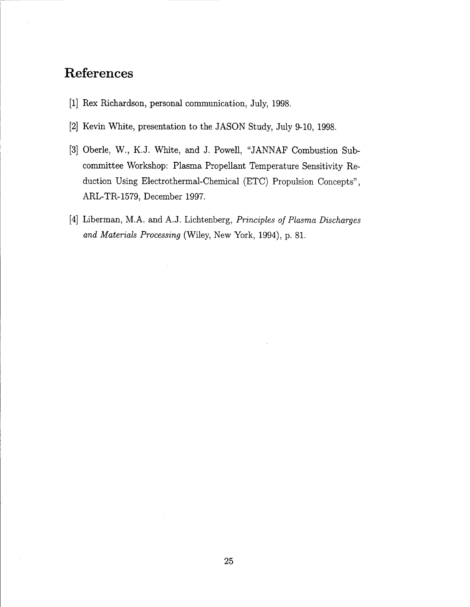## **References**

- [1] Rex Richardson, personal communication, July, 1998.
- [2] Kevin White, presentation to the JASON Study, July 9-10, 1998.
- [3] Oberle, W., K.J. White, and J. Powell, "JANNAF Combustion Subcommittee Workshop: Plasma Propellant Temperature Sensitivity Reduction Using Electrothermal-Chemical (ETC) Propulsion Concepts", ARL-TR-1579, December 1997.
- [4] Liberman, M.A. and A.J. Lichtenberg, *Principles of Plasma Discharges and Materials Processing* (Wiley, New York, 1994), p. 81.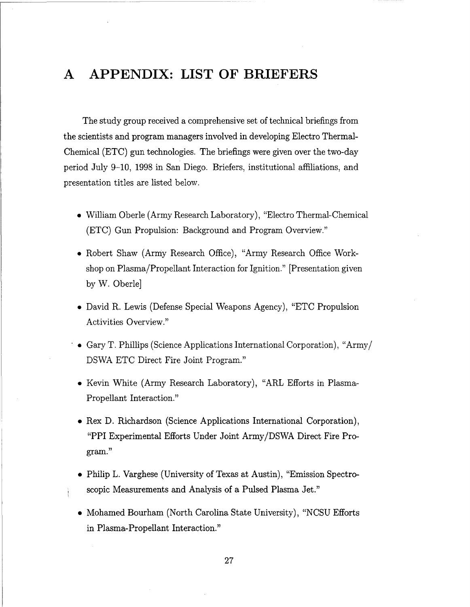## **A APPENDIX: LIST OF BRIEFERS**

The study group received a comprehensive set of technical briefings from the scientists and program managers involved in developing Electro Thermal-Chemical (ETC) gun technologies. The briefings were given over the two-day period July 9-10, 1998 in San Diego. Briefers, institutional affiliations, and presentation titles are listed below.

- William Oberle (Army Research Laboratory), "Electro Thermal-Chemical (ETC) Gun Propulsion: Background and Program Overview."
- Robert Shaw (Army Research Office), "Army Research Office Workshop on Plasma/Propellant Interaction for Ignition." [Presentation given by W. Oberle]
- David R. Lewis (Defense Special Weapons Agency), "ETC Propulsion Activities Overview."
- Gary T. Phillips (Science Applications International Corporation), "Army/ DSWA ETC Direct Fire Joint Program."
	- Kevin White (Army Research Laboratory), "ARL Efforts in Plasma-Propellant Interaction."
	- Rex D. Richardson (Science Applications International Corporation), "PPI Experimental Efforts Under Joint Army /DSWA Direct Fire Program."
	- Philip L. Varghese (University of Texas at Austin), "Emission Spectroscopic Measurements and Analysis of a Pulsed Plasma Jet."
	- Mohamed Bourham (North Carolina State University), "NCSU Efforts in Plasma-Propellant Interaction."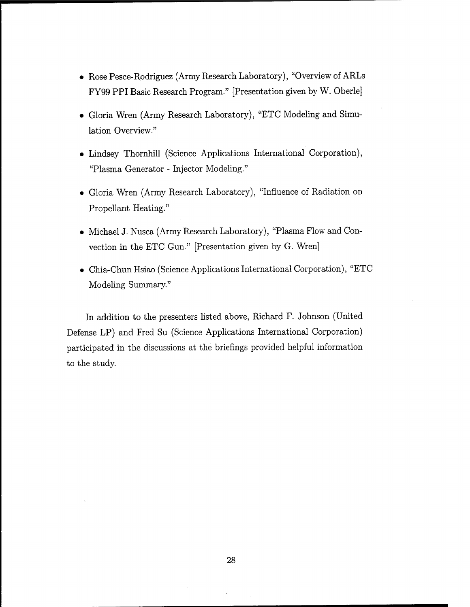- Rose Pesce-Rodriguez (Army Research Laboratory), "Overview of ARLs FY99 **PPI** Basic Research Program." [Presentation given by W. Oberle]
- Gloria Wren (Army Research Laboratory), "ETC Modeling and Simulation Overview."
- Lindsey Thornhill (Science Applications International Corporation), "Plasma Generator - Injector Modeling."
- Gloria Wren (Army Research Laboratory), "Influence of Radiation on Propellant Heating."
- Michael J. Nusca (Army Research Laboratory), "Plasma Flow and Convection in the ETC Gun." [Presentation given by G. Wren]
- Chia-Chun Hsiao (Science Applications International Corporation), "ETC Modeling Summary."

**In** addition to the presenters listed above, Richard F. Johnson (United Defense LP) and Fred Su (Science Applications International Corporation) participated in the discussions at the briefings provided helpful information to the study.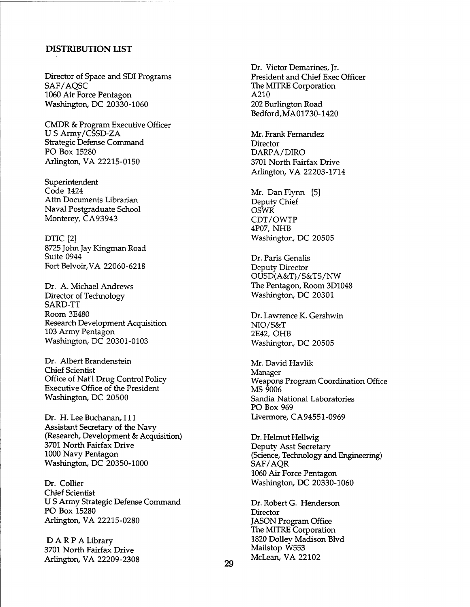#### **DISTRIBUTION LIST**

Director of Space and SDI Programs SAF/AQSC 1060 Air Force Pentagon Washington, DC 20330-1060

CMDR & Program Executive Officer US Army/CSSD-ZA Strategic Defense Command PO Box 15280 Arlington, VA 22215-0150

Superintendent Code 1424 Attn Documents Librarian Naval Postgraduate School Monterey, CA93943

DTIC [2] 8725 John Jay Kingman Road Suite 0944 Fort Belvoir, VA 22060-6218

Dr. A. Michael Andrews Director of Technology SARD-TT Room 3E480 Research Development Acquisition 103 Army Pentagon Washington, DC 20301-0103

Dr. Albert Brandenstein Chief Scientist Office of Nat'l Drug Control Policy Executive Office of the President Washington, DC 20500

Dr. H. Lee Buchanan, I I I Assistant Secretary of the Navy (Research, Development & Acquisition) 3701 North Fairfax Drive 1000 Navy Pentagon Washington, DC 20350-1000

Dr. Collier Chief Scientist US Army Strategic Defense Command PO Box 15280 Arlington, VA 22215-0280

DAR P A Library 3701 North Fairfax Drive Arlington, VA 22209-2308 **<sup>29</sup>** Dr. Victor Demarines, Jr. President and Chief Exec Officer The MITRE Corporation A210 202 Burlington Road Bedford,MA01730-1420

Mr. Frank Fernandez Director DARPA/DIRO 3701 North Fairfax Drive Arlington, VA 22203-1714

Mr. Dan Flynn [5] Deputy Chief OSWR CDT/OWTP 4P07, NHB Washington, DC 20505

Dr. Paris Genalis Deputy Director OUSD(A&T)/S&TS/NW The Pentagon, Room 3D1048 Washington, DC 20301

Dr. Lawrence K. Gershwin NIO/S&T 2E42, OHB Washington, DC 20505

Mr. David Havlik Manager Weapons Program Coordination Office MS 9006 Sandia National Laboratories PO Box 969 Livermore, CA 94551-0969

Dr. Helmut Hellwig Deputy Asst Secretary (Science, Technology and Engineering) SAF/AQR 1060 Air Force Pentagon Washington, DC 20330-1060

Dr. Robert G. Henderson Director JASON Program Office The MITRE Corporation 1820 Dolley Madison Blvd Mailstop W553 McLean, VA 22102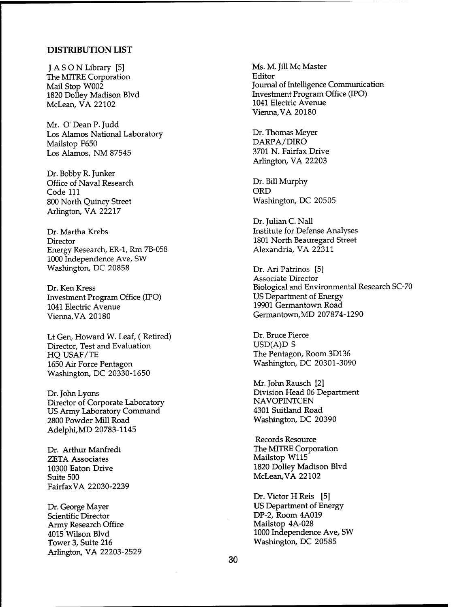#### **DISTRIBUTION LIST**

J A SON Library [5] The MITRE Corporation Mail Stop W002 1820 Dolley Madison Blvd McLean, VA 22102

Mr. O'Dean P. Judd Los Alamos National Laboratory Mailstop F650 Los Alamos, NM 87545

Dr. Bobby R. Junker Office of Naval Research Code 111 800 North Quincy Street Arlington, VA 22217

Dr. Martha Krebs Director Energy Research, ER-1, Rm 7B-058 1000 Independence Ave, SW Washington, DC 20858

Dr. Ken Kress Investment Program Office (IPO) 1041 Electric Avenue Vienna, VA 20180

Lt Gen, Howard W. Leaf, (Retired) Director, Test and Evaluation HQ USAF/TE 1650 Air Force Pentagon Washington, DC 20330-1650

Dr. John Lyons Director of Corporate Laboratory US Army Laboratory Command 2800 Powder Mill Road Adelphi,MD 20783-1145

Dr. Arthur Manfredi ZETA Associates 10300 Eaton Drive Suite 500 FairfaxVA 22030-2239

Dr. George Mayer Scientific Director Army Research Office 4015 Wilson Blvd Tower 3, Suite 216 Arlington, VA 22203-2529 Ms. M. Jill Mc Master Editor Journal of Intelligence Communication Investment Program Office (!PO) 1041 Electric Avenue Vienna, VA 20180

Dr. Thomas Meyer DARPA/DIRO 3701 N. Fairfax Drive Arlington, VA 22203

Dr. Bill Murphy ORD Washington, DC 20505

Dr. Julian C. NaIl Institute for Defense Analyses 1801 North Beauregard Street Alexandria, VA 22311

Dr. Ari Patrinos [5] Associate Director Biological and Environmental Research SC-70 US Department of Energy 19901 Germantown Road Germantown,MD 207874-1290

Dr. Bruce Pierce USD(A)D S The Pentagon, Room 3D136 Washington, DC 20301-3090

Mr. John Rausch [2] Division Head 06 Department **NAVOPINTCEN** 4301 Suitland Road Washington, DC 20390

Records Resource The MITRE Corporation Mailstop W115 1820 Dolley Madison Blvd McLean, VA 22102

Dr. Victor H Reis [5] US Department of Energy DP-2, Room 4A019 Mailstop 4A-028 1000 Independence Ave, SW Washington, DC 20585